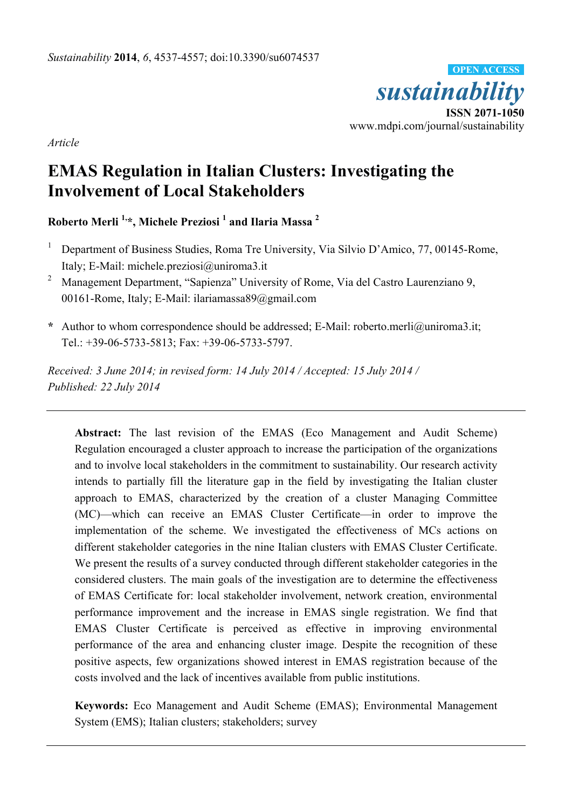

*Article* 

# **EMAS Regulation in Italian Clusters: Investigating the Involvement of Local Stakeholders**

**Roberto Merli 1,\*, Michele Preziosi 1 and Ilaria Massa <sup>2</sup>**

- 1 Department of Business Studies, Roma Tre University, Via Silvio D'Amico, 77, 00145-Rome, Italy; E-Mail: michele.preziosi@uniroma3.it
- 2 Management Department, "Sapienza" University of Rome, Via del Castro Laurenziano 9, 00161-Rome, Italy; E-Mail: ilariamassa89@gmail.com
- **\*** Author to whom correspondence should be addressed; E-Mail: roberto.merli@uniroma3.it; Tel.: +39-06-5733-5813; Fax: +39-06-5733-5797.

*Received: 3 June 2014; in revised form: 14 July 2014 / Accepted: 15 July 2014 / Published: 22 July 2014* 

**Abstract:** The last revision of the EMAS (Eco Management and Audit Scheme) Regulation encouraged a cluster approach to increase the participation of the organizations and to involve local stakeholders in the commitment to sustainability. Our research activity intends to partially fill the literature gap in the field by investigating the Italian cluster approach to EMAS, characterized by the creation of a cluster Managing Committee (MC)—which can receive an EMAS Cluster Certificate—in order to improve the implementation of the scheme. We investigated the effectiveness of MCs actions on different stakeholder categories in the nine Italian clusters with EMAS Cluster Certificate. We present the results of a survey conducted through different stakeholder categories in the considered clusters. The main goals of the investigation are to determine the effectiveness of EMAS Certificate for: local stakeholder involvement, network creation, environmental performance improvement and the increase in EMAS single registration. We find that EMAS Cluster Certificate is perceived as effective in improving environmental performance of the area and enhancing cluster image. Despite the recognition of these positive aspects, few organizations showed interest in EMAS registration because of the costs involved and the lack of incentives available from public institutions.

**Keywords:** Eco Management and Audit Scheme (EMAS); Environmental Management System (EMS); Italian clusters; stakeholders; survey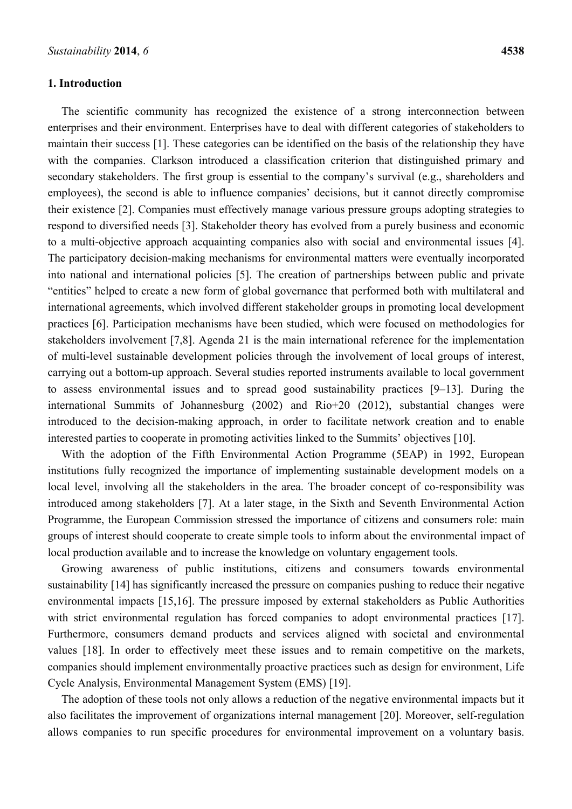### **1. Introduction**

The scientific community has recognized the existence of a strong interconnection between enterprises and their environment. Enterprises have to deal with different categories of stakeholders to maintain their success [1]. These categories can be identified on the basis of the relationship they have with the companies. Clarkson introduced a classification criterion that distinguished primary and secondary stakeholders. The first group is essential to the company's survival (e.g., shareholders and employees), the second is able to influence companies' decisions, but it cannot directly compromise their existence [2]. Companies must effectively manage various pressure groups adopting strategies to respond to diversified needs [3]. Stakeholder theory has evolved from a purely business and economic to a multi-objective approach acquainting companies also with social and environmental issues [4]. The participatory decision-making mechanisms for environmental matters were eventually incorporated into national and international policies [5]. The creation of partnerships between public and private "entities" helped to create a new form of global governance that performed both with multilateral and international agreements, which involved different stakeholder groups in promoting local development practices [6]. Participation mechanisms have been studied, which were focused on methodologies for stakeholders involvement [7,8]. Agenda 21 is the main international reference for the implementation of multi-level sustainable development policies through the involvement of local groups of interest, carrying out a bottom-up approach. Several studies reported instruments available to local government to assess environmental issues and to spread good sustainability practices [9–13]. During the international Summits of Johannesburg (2002) and Rio+20 (2012), substantial changes were introduced to the decision-making approach, in order to facilitate network creation and to enable interested parties to cooperate in promoting activities linked to the Summits' objectives [10].

With the adoption of the Fifth Environmental Action Programme (5EAP) in 1992, European institutions fully recognized the importance of implementing sustainable development models on a local level, involving all the stakeholders in the area. The broader concept of co-responsibility was introduced among stakeholders [7]. At a later stage, in the Sixth and Seventh Environmental Action Programme, the European Commission stressed the importance of citizens and consumers role: main groups of interest should cooperate to create simple tools to inform about the environmental impact of local production available and to increase the knowledge on voluntary engagement tools.

Growing awareness of public institutions, citizens and consumers towards environmental sustainability [14] has significantly increased the pressure on companies pushing to reduce their negative environmental impacts [15,16]. The pressure imposed by external stakeholders as Public Authorities with strict environmental regulation has forced companies to adopt environmental practices [17]. Furthermore, consumers demand products and services aligned with societal and environmental values [18]. In order to effectively meet these issues and to remain competitive on the markets, companies should implement environmentally proactive practices such as design for environment, Life Cycle Analysis, Environmental Management System (EMS) [19].

The adoption of these tools not only allows a reduction of the negative environmental impacts but it also facilitates the improvement of organizations internal management [20]. Moreover, self-regulation allows companies to run specific procedures for environmental improvement on a voluntary basis.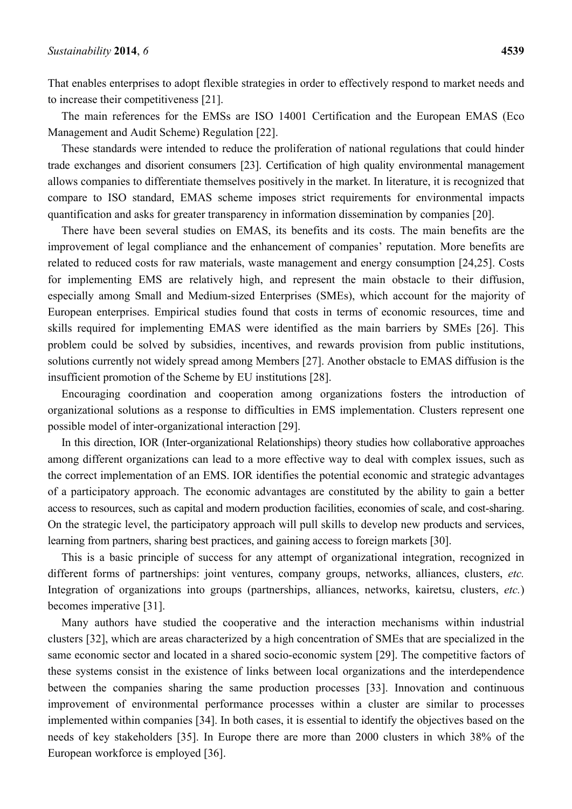That enables enterprises to adopt flexible strategies in order to effectively respond to market needs and to increase their competitiveness [21].

The main references for the EMSs are ISO 14001 Certification and the European EMAS (Eco Management and Audit Scheme) Regulation [22].

These standards were intended to reduce the proliferation of national regulations that could hinder trade exchanges and disorient consumers [23]. Certification of high quality environmental management allows companies to differentiate themselves positively in the market. In literature, it is recognized that compare to ISO standard, EMAS scheme imposes strict requirements for environmental impacts quantification and asks for greater transparency in information dissemination by companies [20].

There have been several studies on EMAS, its benefits and its costs. The main benefits are the improvement of legal compliance and the enhancement of companies' reputation. More benefits are related to reduced costs for raw materials, waste management and energy consumption [24,25]. Costs for implementing EMS are relatively high, and represent the main obstacle to their diffusion, especially among Small and Medium-sized Enterprises (SMEs), which account for the majority of European enterprises. Empirical studies found that costs in terms of economic resources, time and skills required for implementing EMAS were identified as the main barriers by SMEs [26]. This problem could be solved by subsidies, incentives, and rewards provision from public institutions, solutions currently not widely spread among Members [27]. Another obstacle to EMAS diffusion is the insufficient promotion of the Scheme by EU institutions [28].

Encouraging coordination and cooperation among organizations fosters the introduction of organizational solutions as a response to difficulties in EMS implementation. Clusters represent one possible model of inter-organizational interaction [29].

In this direction, IOR (Inter-organizational Relationships) theory studies how collaborative approaches among different organizations can lead to a more effective way to deal with complex issues, such as the correct implementation of an EMS. IOR identifies the potential economic and strategic advantages of a participatory approach. The economic advantages are constituted by the ability to gain a better access to resources, such as capital and modern production facilities, economies of scale, and cost-sharing. On the strategic level, the participatory approach will pull skills to develop new products and services, learning from partners, sharing best practices, and gaining access to foreign markets [30].

This is a basic principle of success for any attempt of organizational integration, recognized in different forms of partnerships: joint ventures, company groups, networks, alliances, clusters, *etc.* Integration of organizations into groups (partnerships, alliances, networks, kairetsu, clusters, *etc.*) becomes imperative [31].

Many authors have studied the cooperative and the interaction mechanisms within industrial clusters [32], which are areas characterized by a high concentration of SMEs that are specialized in the same economic sector and located in a shared socio-economic system [29]. The competitive factors of these systems consist in the existence of links between local organizations and the interdependence between the companies sharing the same production processes [33]. Innovation and continuous improvement of environmental performance processes within a cluster are similar to processes implemented within companies [34]. In both cases, it is essential to identify the objectives based on the needs of key stakeholders [35]. In Europe there are more than 2000 clusters in which 38% of the European workforce is employed [36].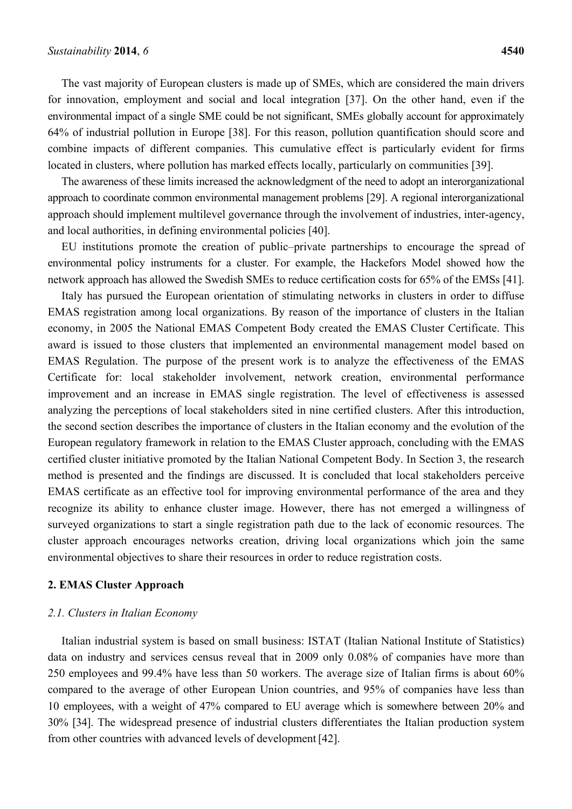The vast majority of European clusters is made up of SMEs, which are considered the main drivers for innovation, employment and social and local integration [37]. On the other hand, even if the environmental impact of a single SME could be not significant, SMEs globally account for approximately 64% of industrial pollution in Europe [38]. For this reason, pollution quantification should score and combine impacts of different companies. This cumulative effect is particularly evident for firms located in clusters, where pollution has marked effects locally, particularly on communities [39].

The awareness of these limits increased the acknowledgment of the need to adopt an interorganizational approach to coordinate common environmental management problems [29]. A regional interorganizational approach should implement multilevel governance through the involvement of industries, inter-agency, and local authorities, in defining environmental policies [40].

EU institutions promote the creation of public–private partnerships to encourage the spread of environmental policy instruments for a cluster. For example, the Hackefors Model showed how the network approach has allowed the Swedish SMEs to reduce certification costs for 65% of the EMSs [41].

Italy has pursued the European orientation of stimulating networks in clusters in order to diffuse EMAS registration among local organizations. By reason of the importance of clusters in the Italian economy, in 2005 the National EMAS Competent Body created the EMAS Cluster Certificate. This award is issued to those clusters that implemented an environmental management model based on EMAS Regulation. The purpose of the present work is to analyze the effectiveness of the EMAS Certificate for: local stakeholder involvement, network creation, environmental performance improvement and an increase in EMAS single registration. The level of effectiveness is assessed analyzing the perceptions of local stakeholders sited in nine certified clusters. After this introduction, the second section describes the importance of clusters in the Italian economy and the evolution of the European regulatory framework in relation to the EMAS Cluster approach, concluding with the EMAS certified cluster initiative promoted by the Italian National Competent Body. In Section 3, the research method is presented and the findings are discussed. It is concluded that local stakeholders perceive EMAS certificate as an effective tool for improving environmental performance of the area and they recognize its ability to enhance cluster image. However, there has not emerged a willingness of surveyed organizations to start a single registration path due to the lack of economic resources. The cluster approach encourages networks creation, driving local organizations which join the same environmental objectives to share their resources in order to reduce registration costs.

### **2. EMAS Cluster Approach**

#### *2.1. Clusters in Italian Economy*

Italian industrial system is based on small business: ISTAT (Italian National Institute of Statistics) data on industry and services census reveal that in 2009 only 0.08% of companies have more than 250 employees and 99.4% have less than 50 workers. The average size of Italian firms is about 60% compared to the average of other European Union countries, and 95% of companies have less than 10 employees, with a weight of 47% compared to EU average which is somewhere between 20% and 30% [34]. The widespread presence of industrial clusters differentiates the Italian production system from other countries with advanced levels of development[42].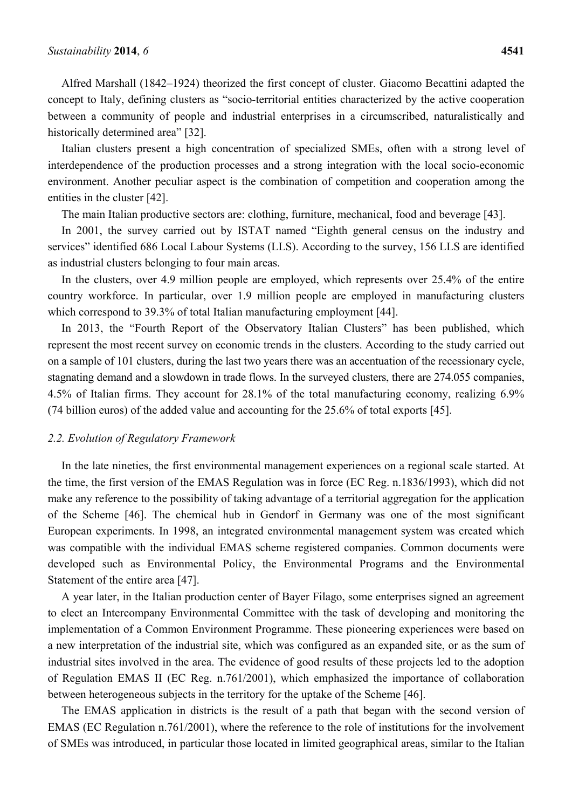Alfred Marshall (1842–1924) theorized the first concept of cluster. Giacomo Becattini adapted the concept to Italy, defining clusters as "socio-territorial entities characterized by the active cooperation between a community of people and industrial enterprises in a circumscribed, naturalistically and historically determined area" [32].

Italian clusters present a high concentration of specialized SMEs, often with a strong level of interdependence of the production processes and a strong integration with the local socio-economic environment. Another peculiar aspect is the combination of competition and cooperation among the entities in the cluster [42].

The main Italian productive sectors are: clothing, furniture, mechanical, food and beverage [43].

In 2001, the survey carried out by ISTAT named "Eighth general census on the industry and services" identified 686 Local Labour Systems (LLS). According to the survey, 156 LLS are identified as industrial clusters belonging to four main areas.

In the clusters, over 4.9 million people are employed, which represents over 25.4% of the entire country workforce. In particular, over 1.9 million people are employed in manufacturing clusters which correspond to 39.3% of total Italian manufacturing employment [44].

In 2013, the "Fourth Report of the Observatory Italian Clusters" has been published, which represent the most recent survey on economic trends in the clusters. According to the study carried out on a sample of 101 clusters, during the last two years there was an accentuation of the recessionary cycle, stagnating demand and a slowdown in trade flows. In the surveyed clusters, there are 274.055 companies, 4.5% of Italian firms. They account for 28.1% of the total manufacturing economy, realizing 6.9% (74 billion euros) of the added value and accounting for the 25.6% of total exports [45].

### *2.2. Evolution of Regulatory Framework*

In the late nineties, the first environmental management experiences on a regional scale started. At the time, the first version of the EMAS Regulation was in force (EC Reg. n.1836/1993), which did not make any reference to the possibility of taking advantage of a territorial aggregation for the application of the Scheme [46]. The chemical hub in Gendorf in Germany was one of the most significant European experiments. In 1998, an integrated environmental management system was created which was compatible with the individual EMAS scheme registered companies. Common documents were developed such as Environmental Policy, the Environmental Programs and the Environmental Statement of the entire area [47].

A year later, in the Italian production center of Bayer Filago, some enterprises signed an agreement to elect an Intercompany Environmental Committee with the task of developing and monitoring the implementation of a Common Environment Programme. These pioneering experiences were based on a new interpretation of the industrial site, which was configured as an expanded site, or as the sum of industrial sites involved in the area. The evidence of good results of these projects led to the adoption of Regulation EMAS II (EC Reg. n.761/2001), which emphasized the importance of collaboration between heterogeneous subjects in the territory for the uptake of the Scheme [46].

The EMAS application in districts is the result of a path that began with the second version of EMAS (EC Regulation n.761/2001), where the reference to the role of institutions for the involvement of SMEs was introduced, in particular those located in limited geographical areas, similar to the Italian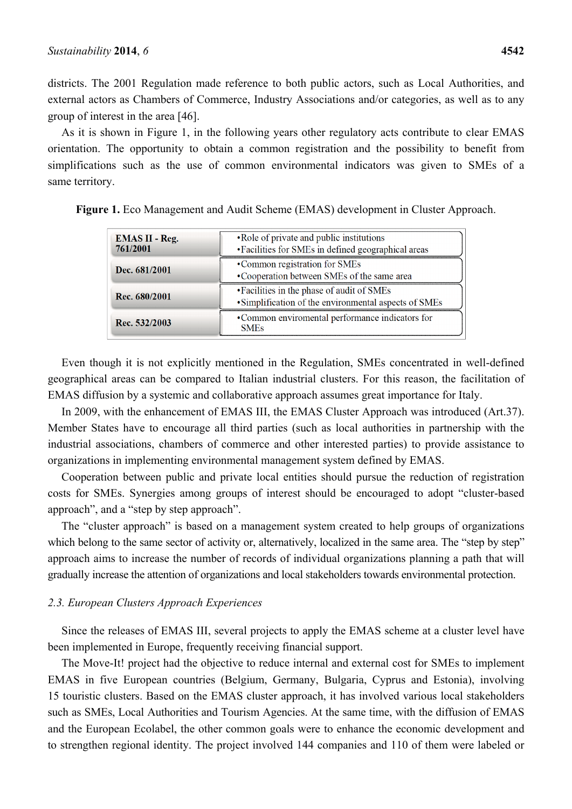districts. The 2001 Regulation made reference to both public actors, such as Local Authorities, and external actors as Chambers of Commerce, Industry Associations and/or categories, as well as to any group of interest in the area [46].

As it is shown in Figure 1, in the following years other regulatory acts contribute to clear EMAS orientation. The opportunity to obtain a common registration and the possibility to benefit from simplifications such as the use of common environmental indicators was given to SMEs of a same territory.

| <b>EMAS II - Reg.</b><br>761/2001 | • Role of private and public institutions<br>• Facilities for SMEs in defined geographical areas    |
|-----------------------------------|-----------------------------------------------------------------------------------------------------|
| Dec. 681/2001                     | •Common registration for SMEs<br>•Cooperation between SMEs of the same area                         |
| Rec. 680/2001                     | • Facilities in the phase of audit of SMEs<br>• Simplification of the environmental aspects of SMEs |
| Rec. 532/2003                     | •Common enviromental performance indicators for<br><b>SMEs</b>                                      |

**Figure 1.** Eco Management and Audit Scheme (EMAS) development in Cluster Approach.

Even though it is not explicitly mentioned in the Regulation, SMEs concentrated in well-defined geographical areas can be compared to Italian industrial clusters. For this reason, the facilitation of EMAS diffusion by a systemic and collaborative approach assumes great importance for Italy.

In 2009, with the enhancement of EMAS III, the EMAS Cluster Approach was introduced (Art.37). Member States have to encourage all third parties (such as local authorities in partnership with the industrial associations, chambers of commerce and other interested parties) to provide assistance to organizations in implementing environmental management system defined by EMAS.

Cooperation between public and private local entities should pursue the reduction of registration costs for SMEs. Synergies among groups of interest should be encouraged to adopt "cluster-based approach", and a "step by step approach".

The "cluster approach" is based on a management system created to help groups of organizations which belong to the same sector of activity or, alternatively, localized in the same area. The "step by step" approach aims to increase the number of records of individual organizations planning a path that will gradually increase the attention of organizations and local stakeholders towards environmental protection.

### *2.3. European Clusters Approach Experiences*

Since the releases of EMAS III, several projects to apply the EMAS scheme at a cluster level have been implemented in Europe, frequently receiving financial support.

The Move-It! project had the objective to reduce internal and external cost for SMEs to implement EMAS in five European countries (Belgium, Germany, Bulgaria, Cyprus and Estonia), involving 15 touristic clusters. Based on the EMAS cluster approach, it has involved various local stakeholders such as SMEs, Local Authorities and Tourism Agencies. At the same time, with the diffusion of EMAS and the European Ecolabel, the other common goals were to enhance the economic development and to strengthen regional identity. The project involved 144 companies and 110 of them were labeled or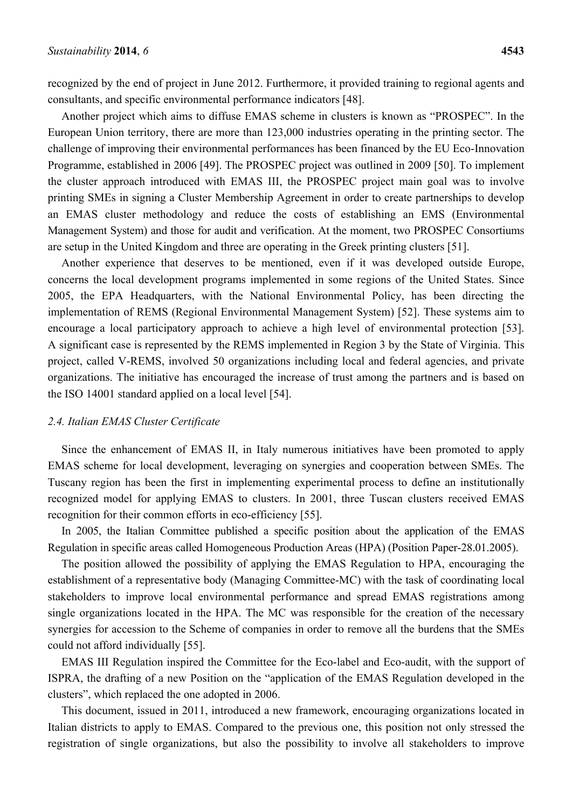recognized by the end of project in June 2012. Furthermore, it provided training to regional agents and consultants, and specific environmental performance indicators [48].

Another project which aims to diffuse EMAS scheme in clusters is known as "PROSPEC". In the European Union territory, there are more than 123,000 industries operating in the printing sector. The challenge of improving their environmental performances has been financed by the EU Eco-Innovation Programme, established in 2006 [49]. The PROSPEC project was outlined in 2009 [50]. To implement the cluster approach introduced with EMAS III, the PROSPEC project main goal was to involve printing SMEs in signing a Cluster Membership Agreement in order to create partnerships to develop an EMAS cluster methodology and reduce the costs of establishing an EMS (Environmental Management System) and those for audit and verification. At the moment, two PROSPEC Consortiums are setup in the United Kingdom and three are operating in the Greek printing clusters [51].

Another experience that deserves to be mentioned, even if it was developed outside Europe, concerns the local development programs implemented in some regions of the United States. Since 2005, the EPA Headquarters, with the National Environmental Policy, has been directing the implementation of REMS (Regional Environmental Management System) [52]. These systems aim to encourage a local participatory approach to achieve a high level of environmental protection [53]. A significant case is represented by the REMS implemented in Region 3 by the State of Virginia. This project, called V-REMS, involved 50 organizations including local and federal agencies, and private organizations. The initiative has encouraged the increase of trust among the partners and is based on the ISO 14001 standard applied on a local level [54].

### *2.4. Italian EMAS Cluster Certificate*

Since the enhancement of EMAS II, in Italy numerous initiatives have been promoted to apply EMAS scheme for local development, leveraging on synergies and cooperation between SMEs. The Tuscany region has been the first in implementing experimental process to define an institutionally recognized model for applying EMAS to clusters. In 2001, three Tuscan clusters received EMAS recognition for their common efforts in eco-efficiency [55].

In 2005, the Italian Committee published a specific position about the application of the EMAS Regulation in specific areas called Homogeneous Production Areas (HPA) (Position Paper-28.01.2005).

The position allowed the possibility of applying the EMAS Regulation to HPA, encouraging the establishment of a representative body (Managing Committee-MC) with the task of coordinating local stakeholders to improve local environmental performance and spread EMAS registrations among single organizations located in the HPA. The MC was responsible for the creation of the necessary synergies for accession to the Scheme of companies in order to remove all the burdens that the SMEs could not afford individually [55].

EMAS III Regulation inspired the Committee for the Eco-label and Eco-audit, with the support of ISPRA, the drafting of a new Position on the "application of the EMAS Regulation developed in the clusters", which replaced the one adopted in 2006.

This document, issued in 2011, introduced a new framework, encouraging organizations located in Italian districts to apply to EMAS. Compared to the previous one, this position not only stressed the registration of single organizations, but also the possibility to involve all stakeholders to improve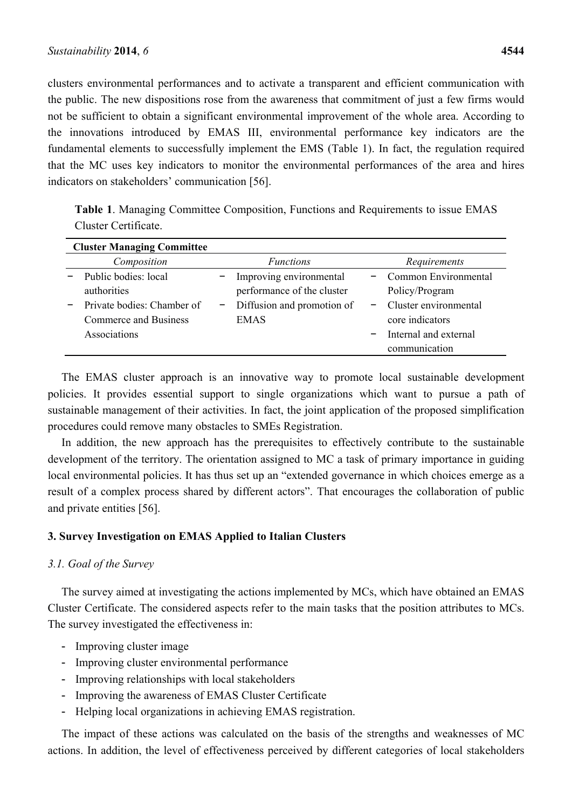clusters environmental performances and to activate a transparent and efficient communication with the public. The new dispositions rose from the awareness that commitment of just a few firms would not be sufficient to obtain a significant environmental improvement of the whole area. According to the innovations introduced by EMAS III, environmental performance key indicators are the fundamental elements to successfully implement the EMS (Table 1). In fact, the regulation required that the MC uses key indicators to monitor the environmental performances of the area and hires indicators on stakeholders' communication [56].

**Table 1**. Managing Committee Composition, Functions and Requirements to issue EMAS Cluster Certificate.

| <b>Cluster Managing Committee</b>                                                                          |                                                                                                    |                                                                                                                              |
|------------------------------------------------------------------------------------------------------------|----------------------------------------------------------------------------------------------------|------------------------------------------------------------------------------------------------------------------------------|
| Composition                                                                                                | <i>Functions</i>                                                                                   | Requirements                                                                                                                 |
| Public bodies: local<br>authorities<br>Private bodies: Chamber of<br>Commerce and Business<br>Associations | Improving environmental<br>performance of the cluster<br>Diffusion and promotion of<br><b>EMAS</b> | Common Environmental<br>Policy/Program<br>Cluster environmental<br>core indicators<br>Internal and external<br>communication |

The EMAS cluster approach is an innovative way to promote local sustainable development policies. It provides essential support to single organizations which want to pursue a path of sustainable management of their activities. In fact, the joint application of the proposed simplification procedures could remove many obstacles to SMEs Registration.

In addition, the new approach has the prerequisites to effectively contribute to the sustainable development of the territory. The orientation assigned to MC a task of primary importance in guiding local environmental policies. It has thus set up an "extended governance in which choices emerge as a result of a complex process shared by different actors". That encourages the collaboration of public and private entities [56].

# **3. Survey Investigation on EMAS Applied to Italian Clusters**

# *3.1. Goal of the Survey*

The survey aimed at investigating the actions implemented by MCs, which have obtained an EMAS Cluster Certificate. The considered aspects refer to the main tasks that the position attributes to MCs. The survey investigated the effectiveness in:

- Improving cluster image
- Improving cluster environmental performance
- Improving relationships with local stakeholders
- Improving the awareness of EMAS Cluster Certificate
- Helping local organizations in achieving EMAS registration.

The impact of these actions was calculated on the basis of the strengths and weaknesses of MC actions. In addition, the level of effectiveness perceived by different categories of local stakeholders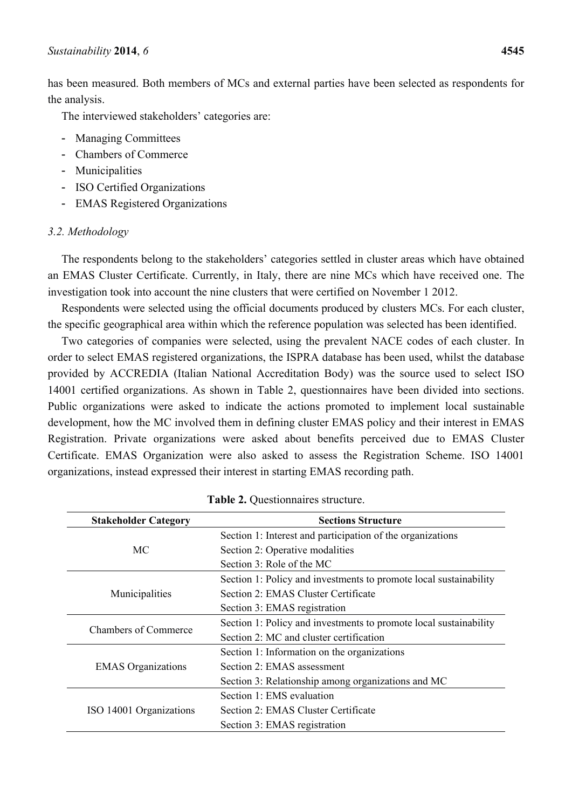has been measured. Both members of MCs and external parties have been selected as respondents for the analysis.

The interviewed stakeholders' categories are:

- Managing Committees
- Chambers of Commerce
- Municipalities
- ISO Certified Organizations
- EMAS Registered Organizations

### *3.2. Methodology*

The respondents belong to the stakeholders' categories settled in cluster areas which have obtained an EMAS Cluster Certificate. Currently, in Italy, there are nine MCs which have received one. The investigation took into account the nine clusters that were certified on November 1 2012.

Respondents were selected using the official documents produced by clusters MCs. For each cluster, the specific geographical area within which the reference population was selected has been identified.

Two categories of companies were selected, using the prevalent NACE codes of each cluster. In order to select EMAS registered organizations, the ISPRA database has been used, whilst the database provided by ACCREDIA (Italian National Accreditation Body) was the source used to select ISO 14001 certified organizations. As shown in Table 2, questionnaires have been divided into sections. Public organizations were asked to indicate the actions promoted to implement local sustainable development, how the MC involved them in defining cluster EMAS policy and their interest in EMAS Registration. Private organizations were asked about benefits perceived due to EMAS Cluster Certificate. EMAS Organization were also asked to assess the Registration Scheme. ISO 14001 organizations, instead expressed their interest in starting EMAS recording path.

| <b>Stakeholder Category</b> | <b>Sections Structure</b>                                         |
|-----------------------------|-------------------------------------------------------------------|
|                             | Section 1: Interest and participation of the organizations        |
| МC                          | Section 2: Operative modalities                                   |
|                             | Section 3: Role of the MC                                         |
|                             | Section 1: Policy and investments to promote local sustainability |
| Municipalities              | Section 2: EMAS Cluster Certificate                               |
|                             | Section 3: EMAS registration                                      |
|                             | Section 1: Policy and investments to promote local sustainability |
| <b>Chambers of Commerce</b> | Section 2: MC and cluster certification                           |
|                             | Section 1: Information on the organizations                       |
| <b>EMAS</b> Organizations   | Section 2: EMAS assessment                                        |
|                             | Section 3: Relationship among organizations and MC                |
|                             | Section 1: EMS evaluation                                         |
| ISO 14001 Organizations     | Section 2: EMAS Cluster Certificate                               |
|                             | Section 3: EMAS registration                                      |

**Table 2.** Questionnaires structure.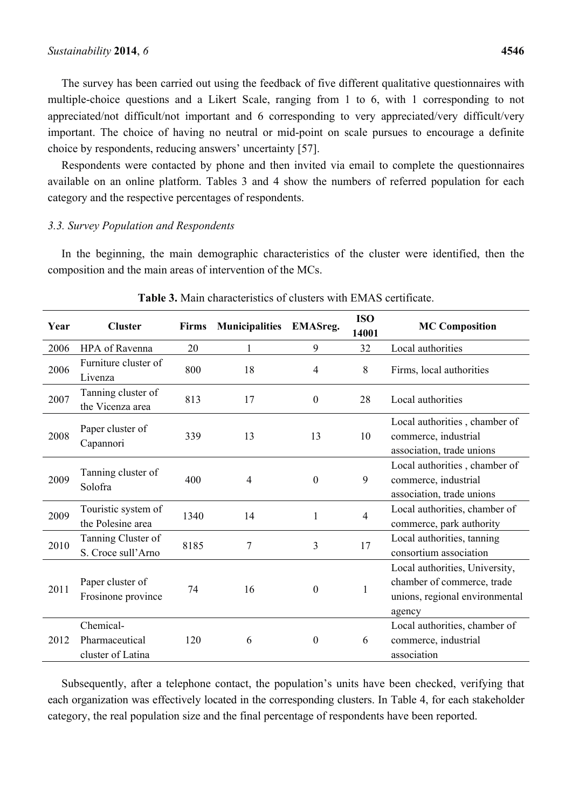The survey has been carried out using the feedback of five different qualitative questionnaires with multiple-choice questions and a Likert Scale, ranging from 1 to 6, with 1 corresponding to not appreciated/not difficult/not important and 6 corresponding to very appreciated/very difficult/very important. The choice of having no neutral or mid-point on scale pursues to encourage a definite choice by respondents, reducing answers' uncertainty [57].

Respondents were contacted by phone and then invited via email to complete the questionnaires available on an online platform. Tables 3 and 4 show the numbers of referred population for each category and the respective percentages of respondents.

### *3.3. Survey Population and Respondents*

In the beginning, the main demographic characteristics of the cluster were identified, then the composition and the main areas of intervention of the MCs.

| Year | <b>Cluster</b>                                   | <b>Firms</b> | <b>Municipalities</b> | <b>EMASreg.</b>  | <b>ISO</b><br>14001 | <b>MC Composition</b>                                                                                    |
|------|--------------------------------------------------|--------------|-----------------------|------------------|---------------------|----------------------------------------------------------------------------------------------------------|
| 2006 | HPA of Ravenna                                   | 20           | 1                     | 9                | 32                  | Local authorities                                                                                        |
| 2006 | Furniture cluster of<br>Livenza                  | 800          | 18                    | $\overline{4}$   | 8                   | Firms, local authorities                                                                                 |
| 2007 | Tanning cluster of<br>the Vicenza area           | 813          | 17                    | $\mathbf{0}$     | 28                  | Local authorities                                                                                        |
| 2008 | Paper cluster of<br>Capannori                    | 339          | 13                    | 13               | 10                  | Local authorities, chamber of<br>commerce, industrial<br>association, trade unions                       |
| 2009 | Tanning cluster of<br>Solofra                    | 400          | $\overline{4}$        | $\boldsymbol{0}$ | 9                   | Local authorities, chamber of<br>commerce, industrial<br>association, trade unions                       |
| 2009 | Touristic system of<br>the Polesine area         | 1340         | 14                    | 1                | $\overline{4}$      | Local authorities, chamber of<br>commerce, park authority                                                |
| 2010 | Tanning Cluster of<br>S. Croce sull'Arno         | 8185         | 7                     | $\overline{3}$   | 17                  | Local authorities, tanning<br>consortium association                                                     |
| 2011 | Paper cluster of<br>Frosinone province           | 74           | 16                    | $\boldsymbol{0}$ | $\mathbf{1}$        | Local authorities, University,<br>chamber of commerce, trade<br>unions, regional environmental<br>agency |
| 2012 | Chemical-<br>Pharmaceutical<br>cluster of Latina | 120          | 6                     | $\boldsymbol{0}$ | 6                   | Local authorities, chamber of<br>commerce, industrial<br>association                                     |

### **Table 3.** Main characteristics of clusters with EMAS certificate.

Subsequently, after a telephone contact, the population's units have been checked, verifying that each organization was effectively located in the corresponding clusters. In Table 4, for each stakeholder category, the real population size and the final percentage of respondents have been reported.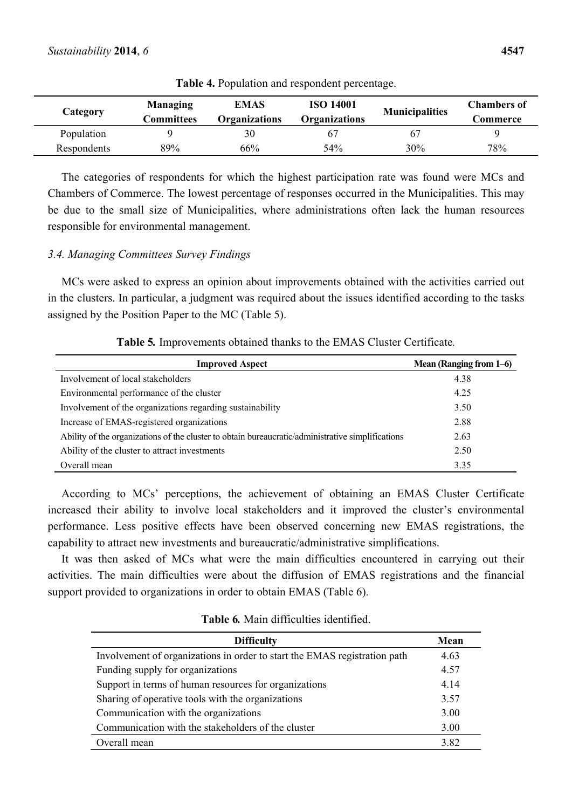| Category    | <b>Managing</b><br>Committees | <b>EMAS</b><br>Organizations | <b>ISO 14001</b><br>Organizations | <b>Municipalities</b> | <b>Chambers of</b><br>Commerce |
|-------------|-------------------------------|------------------------------|-----------------------------------|-----------------------|--------------------------------|
| Population  |                               | 30                           | 67                                | 61                    |                                |
| Respondents | 89%                           | 66%                          | 54%                               | 30%                   | 78%                            |

**Table 4.** Population and respondent percentage.

The categories of respondents for which the highest participation rate was found were MCs and Chambers of Commerce. The lowest percentage of responses occurred in the Municipalities. This may be due to the small size of Municipalities, where administrations often lack the human resources responsible for environmental management.

# *3.4. Managing Committees Survey Findings*

MCs were asked to express an opinion about improvements obtained with the activities carried out in the clusters. In particular, a judgment was required about the issues identified according to the tasks assigned by the Position Paper to the MC (Table 5).

| <b>Improved Aspect</b>                                                                            | Mean (Ranging from 1–6) |
|---------------------------------------------------------------------------------------------------|-------------------------|
| Involvement of local stakeholders                                                                 | 4.38                    |
| Environmental performance of the cluster                                                          | 4.25                    |
| Involvement of the organizations regarding sustainability                                         | 3.50                    |
| Increase of EMAS-registered organizations                                                         | 2.88                    |
| Ability of the organizations of the cluster to obtain bureaucratic/administrative simplifications | 2.63                    |
| Ability of the cluster to attract investments                                                     | 2.50                    |
| Overall mean                                                                                      | 3.35                    |

**Table 5***.* Improvements obtained thanks to the EMAS Cluster Certificate*.*

According to MCs' perceptions, the achievement of obtaining an EMAS Cluster Certificate increased their ability to involve local stakeholders and it improved the cluster's environmental performance. Less positive effects have been observed concerning new EMAS registrations, the capability to attract new investments and bureaucratic/administrative simplifications.

It was then asked of MCs what were the main difficulties encountered in carrying out their activities. The main difficulties were about the diffusion of EMAS registrations and the financial support provided to organizations in order to obtain EMAS (Table 6).

### **Table 6***.* Main difficulties identified.

| <b>Difficulty</b>                                                         | Mean |
|---------------------------------------------------------------------------|------|
| Involvement of organizations in order to start the EMAS registration path | 4.63 |
| Funding supply for organizations                                          | 4.57 |
| Support in terms of human resources for organizations                     | 4.14 |
| Sharing of operative tools with the organizations                         | 3.57 |
| Communication with the organizations                                      | 3.00 |
| Communication with the stakeholders of the cluster                        | 3.00 |
| Overall mean                                                              | 3.82 |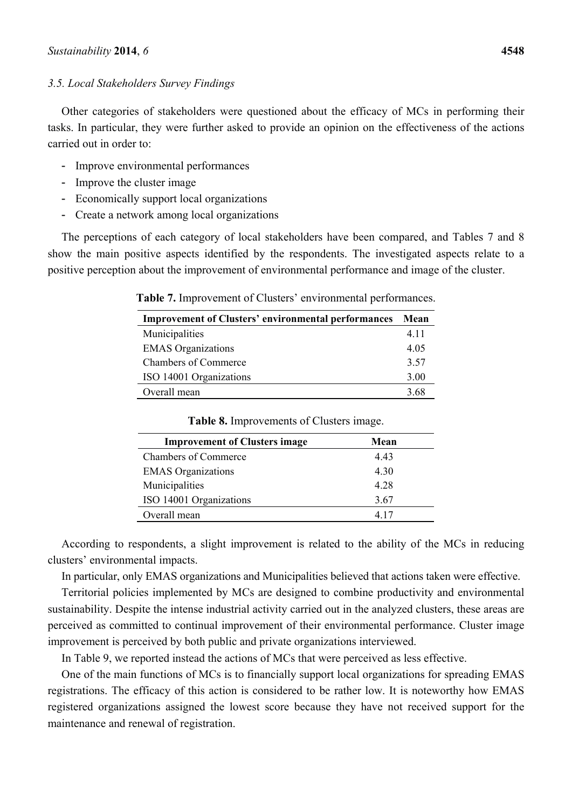### *3.5. Local Stakeholders Survey Findings*

Other categories of stakeholders were questioned about the efficacy of MCs in performing their tasks. In particular, they were further asked to provide an opinion on the effectiveness of the actions carried out in order to:

- Improve environmental performances
- Improve the cluster image
- Economically support local organizations
- Create a network among local organizations

The perceptions of each category of local stakeholders have been compared, and Tables 7 and 8 show the main positive aspects identified by the respondents. The investigated aspects relate to a positive perception about the improvement of environmental performance and image of the cluster.

| Table 7. Improvement of Clusters' environmental performances.   |  |
|-----------------------------------------------------------------|--|
| <b>Improvement of Clusters' environmental performances</b> Mean |  |

| <b>Improvement of Clusters' environmental performances</b> | Mean |
|------------------------------------------------------------|------|
| Municipalities                                             | 4.11 |
| <b>EMAS</b> Organizations                                  | 4.05 |
| <b>Chambers of Commerce</b>                                | 3.57 |
| ISO 14001 Organizations                                    | 3.00 |
| Overall mean                                               | 3.68 |

| <b>Improvement of Clusters image</b> | Mean  |
|--------------------------------------|-------|
| <b>Chambers of Commerce</b>          | 443   |
| <b>EMAS</b> Organizations            | 4.30  |
| Municipalities                       | 4 2 8 |
| ISO 14001 Organizations              | 3.67  |
| Overall mean                         | 417   |

**Table 8.** Improvements of Clusters image.

According to respondents, a slight improvement is related to the ability of the MCs in reducing clusters' environmental impacts.

In particular, only EMAS organizations and Municipalities believed that actions taken were effective.

Territorial policies implemented by MCs are designed to combine productivity and environmental sustainability. Despite the intense industrial activity carried out in the analyzed clusters, these areas are perceived as committed to continual improvement of their environmental performance. Cluster image improvement is perceived by both public and private organizations interviewed.

In Table 9, we reported instead the actions of MCs that were perceived as less effective.

One of the main functions of MCs is to financially support local organizations for spreading EMAS registrations. The efficacy of this action is considered to be rather low. It is noteworthy how EMAS registered organizations assigned the lowest score because they have not received support for the maintenance and renewal of registration.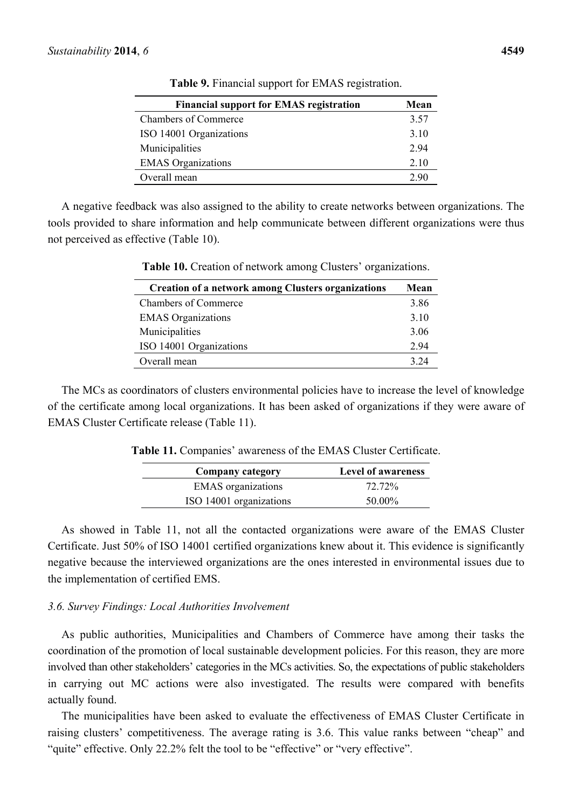| <b>Financial support for EMAS registration</b> | Mean |
|------------------------------------------------|------|
| <b>Chambers of Commerce</b>                    | 3.57 |
| ISO 14001 Organizations                        | 3.10 |
| Municipalities                                 | 294  |
| <b>EMAS</b> Organizations                      | 2.10 |
| Overall mean                                   | 2.90 |

**Table 9.** Financial support for EMAS registration.

A negative feedback was also assigned to the ability to create networks between organizations. The tools provided to share information and help communicate between different organizations were thus not perceived as effective (Table 10).

| <b>Creation of a network among Clusters organizations</b> | Mean |
|-----------------------------------------------------------|------|
| <b>Chambers of Commerce</b>                               | 3.86 |
| <b>EMAS</b> Organizations                                 | 3.10 |
| Municipalities                                            | 3.06 |
| ISO 14001 Organizations                                   | 2.94 |
| Overall mean                                              | 3.24 |

**Table 10.** Creation of network among Clusters' organizations.

The MCs as coordinators of clusters environmental policies have to increase the level of knowledge of the certificate among local organizations. It has been asked of organizations if they were aware of EMAS Cluster Certificate release (Table 11).

**Table 11.** Companies' awareness of the EMAS Cluster Certificate.

| <b>Company category</b>   | <b>Level of awareness</b> |
|---------------------------|---------------------------|
| <b>EMAS</b> organizations | 72.72%                    |
| ISO 14001 organizations   | 50.00%                    |

As showed in Table 11, not all the contacted organizations were aware of the EMAS Cluster Certificate. Just 50% of ISO 14001 certified organizations knew about it. This evidence is significantly negative because the interviewed organizations are the ones interested in environmental issues due to the implementation of certified EMS.

### *3.6. Survey Findings: Local Authorities Involvement*

As public authorities, Municipalities and Chambers of Commerce have among their tasks the coordination of the promotion of local sustainable development policies. For this reason, they are more involved than other stakeholders' categories in the MCs activities. So, the expectations of public stakeholders in carrying out MC actions were also investigated. The results were compared with benefits actually found.

The municipalities have been asked to evaluate the effectiveness of EMAS Cluster Certificate in raising clusters' competitiveness. The average rating is 3.6. This value ranks between "cheap" and "quite" effective. Only 22.2% felt the tool to be "effective" or "very effective".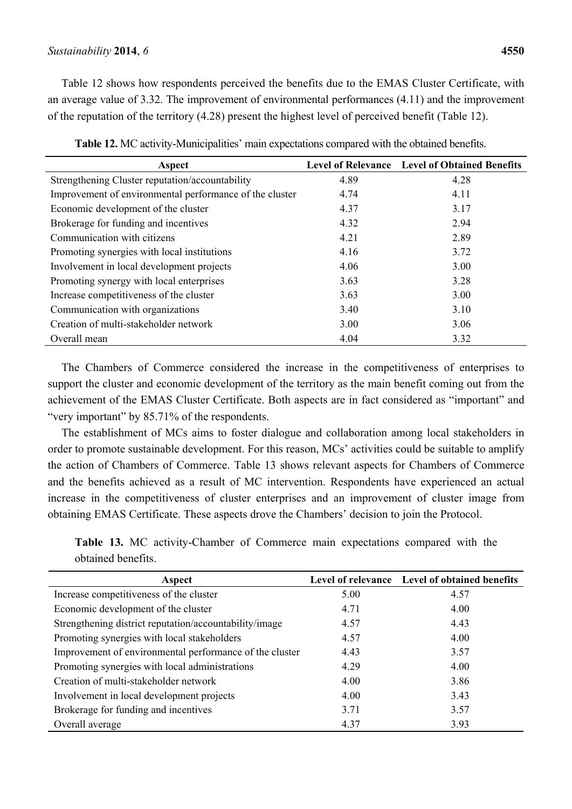Table 12 shows how respondents perceived the benefits due to the EMAS Cluster Certificate, with an average value of 3.32. The improvement of environmental performances (4.11) and the improvement of the reputation of the territory (4.28) present the highest level of perceived benefit (Table 12).

| Aspect                                                  |      | Level of Relevance Level of Obtained Benefits |
|---------------------------------------------------------|------|-----------------------------------------------|
| Strengthening Cluster reputation/accountability         | 4.89 | 4.28                                          |
| Improvement of environmental performance of the cluster | 4.74 | 4.11                                          |
| Economic development of the cluster                     | 4.37 | 3.17                                          |
| Brokerage for funding and incentives                    | 4.32 | 2.94                                          |
| Communication with citizens                             | 4.21 | 2.89                                          |
| Promoting synergies with local institutions             | 4.16 | 3.72                                          |
| Involvement in local development projects               | 4.06 | 3.00                                          |
| Promoting synergy with local enterprises                | 3.63 | 3.28                                          |
| Increase competitiveness of the cluster                 | 3.63 | 3.00                                          |
| Communication with organizations                        | 3.40 | 3.10                                          |
| Creation of multi-stakeholder network                   | 3.00 | 3.06                                          |
| Overall mean                                            | 4.04 | 3.32                                          |

**Table 12.** MC activity-Municipalities' main expectations compared with the obtained benefits.

The Chambers of Commerce considered the increase in the competitiveness of enterprises to support the cluster and economic development of the territory as the main benefit coming out from the achievement of the EMAS Cluster Certificate. Both aspects are in fact considered as "important" and "very important" by 85.71% of the respondents.

The establishment of MCs aims to foster dialogue and collaboration among local stakeholders in order to promote sustainable development. For this reason, MCs' activities could be suitable to amplify the action of Chambers of Commerce. Table 13 shows relevant aspects for Chambers of Commerce and the benefits achieved as a result of MC intervention. Respondents have experienced an actual increase in the competitiveness of cluster enterprises and an improvement of cluster image from obtaining EMAS Certificate. These aspects drove the Chambers' decision to join the Protocol.

|                    |  | <b>Table 13.</b> MC activity-Chamber of Commerce main expectations compared with the |  |  |  |  |
|--------------------|--|--------------------------------------------------------------------------------------|--|--|--|--|
| obtained benefits. |  |                                                                                      |  |  |  |  |

| Aspect                                                  |      | Level of relevance Level of obtained benefits |
|---------------------------------------------------------|------|-----------------------------------------------|
| Increase competitiveness of the cluster                 | 5.00 | 4.57                                          |
| Economic development of the cluster                     | 4.71 | 4.00                                          |
| Strengthening district reputation/accountability/image  | 4.57 | 4.43                                          |
| Promoting synergies with local stakeholders             | 4.57 | 4.00                                          |
| Improvement of environmental performance of the cluster | 4.43 | 3.57                                          |
| Promoting synergies with local administrations          | 4.29 | 4.00                                          |
| Creation of multi-stakeholder network                   | 4.00 | 3.86                                          |
| Involvement in local development projects               | 4.00 | 3.43                                          |
| Brokerage for funding and incentives                    | 3.71 | 3.57                                          |
| Overall average                                         | 4.37 | 3.93                                          |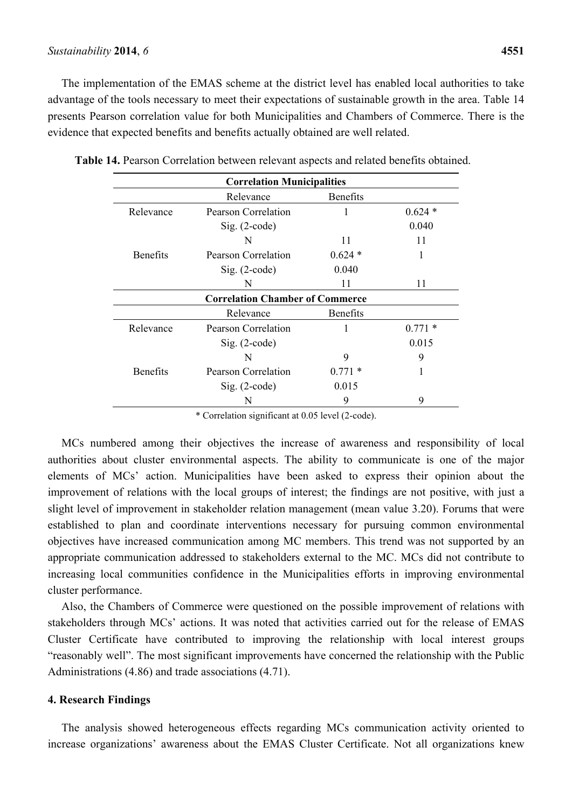### *Sustainability* **2014**, *6* **4551**

The implementation of the EMAS scheme at the district level has enabled local authorities to take advantage of the tools necessary to meet their expectations of sustainable growth in the area. Table 14 presents Pearson correlation value for both Municipalities and Chambers of Commerce. There is the evidence that expected benefits and benefits actually obtained are well related.

| <b>Correlation Municipalities</b>      |                          |                 |          |  |  |  |
|----------------------------------------|--------------------------|-----------------|----------|--|--|--|
|                                        | Relevance                | <b>Benefits</b> |          |  |  |  |
| Relevance                              | Pearson Correlation      | 1               | $0.624*$ |  |  |  |
|                                        | $Sig. (2-code)$          |                 | 0.040    |  |  |  |
|                                        | N                        | 11              | 11       |  |  |  |
| <b>Benefits</b>                        | Pearson Correlation      | $0.624*$        |          |  |  |  |
|                                        | 0.040<br>$Sig. (2-code)$ |                 |          |  |  |  |
|                                        | N                        | 11              | 11       |  |  |  |
| <b>Correlation Chamber of Commerce</b> |                          |                 |          |  |  |  |
| <b>Benefits</b><br>Relevance           |                          |                 |          |  |  |  |
| Relevance                              | Pearson Correlation      |                 | $0.771*$ |  |  |  |
|                                        | $Sig. (2-code)$          |                 | 0.015    |  |  |  |
|                                        | N                        | 9               | 9        |  |  |  |
| <b>Benefits</b>                        | Pearson Correlation      | $0.771*$        |          |  |  |  |
|                                        | $Sig. (2-code)$          | 0.015           |          |  |  |  |
|                                        | N                        | 9               | 9        |  |  |  |

**Table 14.** Pearson Correlation between relevant aspects and related benefits obtained.

\* Correlation significant at 0.05 level (2-code).

MCs numbered among their objectives the increase of awareness and responsibility of local authorities about cluster environmental aspects. The ability to communicate is one of the major elements of MCs' action. Municipalities have been asked to express their opinion about the improvement of relations with the local groups of interest; the findings are not positive, with just a slight level of improvement in stakeholder relation management (mean value 3.20). Forums that were established to plan and coordinate interventions necessary for pursuing common environmental objectives have increased communication among MC members. This trend was not supported by an appropriate communication addressed to stakeholders external to the MC. MCs did not contribute to increasing local communities confidence in the Municipalities efforts in improving environmental cluster performance.

Also, the Chambers of Commerce were questioned on the possible improvement of relations with stakeholders through MCs' actions. It was noted that activities carried out for the release of EMAS Cluster Certificate have contributed to improving the relationship with local interest groups "reasonably well". The most significant improvements have concerned the relationship with the Public Administrations (4.86) and trade associations (4.71).

#### **4. Research Findings**

The analysis showed heterogeneous effects regarding MCs communication activity oriented to increase organizations' awareness about the EMAS Cluster Certificate. Not all organizations knew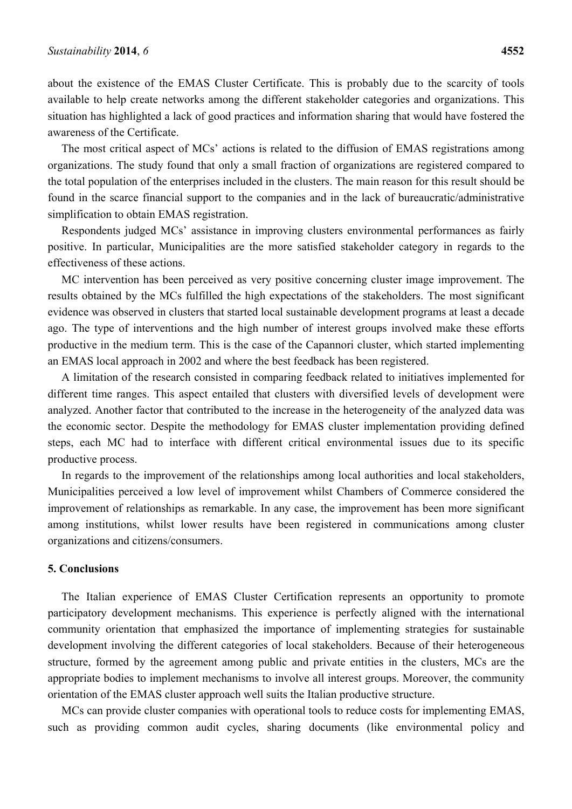about the existence of the EMAS Cluster Certificate. This is probably due to the scarcity of tools available to help create networks among the different stakeholder categories and organizations. This situation has highlighted a lack of good practices and information sharing that would have fostered the awareness of the Certificate.

The most critical aspect of MCs' actions is related to the diffusion of EMAS registrations among organizations. The study found that only a small fraction of organizations are registered compared to the total population of the enterprises included in the clusters. The main reason for this result should be found in the scarce financial support to the companies and in the lack of bureaucratic/administrative simplification to obtain EMAS registration.

Respondents judged MCs' assistance in improving clusters environmental performances as fairly positive. In particular, Municipalities are the more satisfied stakeholder category in regards to the effectiveness of these actions.

MC intervention has been perceived as very positive concerning cluster image improvement. The results obtained by the MCs fulfilled the high expectations of the stakeholders. The most significant evidence was observed in clusters that started local sustainable development programs at least a decade ago. The type of interventions and the high number of interest groups involved make these efforts productive in the medium term. This is the case of the Capannori cluster, which started implementing an EMAS local approach in 2002 and where the best feedback has been registered.

A limitation of the research consisted in comparing feedback related to initiatives implemented for different time ranges. This aspect entailed that clusters with diversified levels of development were analyzed. Another factor that contributed to the increase in the heterogeneity of the analyzed data was the economic sector. Despite the methodology for EMAS cluster implementation providing defined steps, each MC had to interface with different critical environmental issues due to its specific productive process.

In regards to the improvement of the relationships among local authorities and local stakeholders, Municipalities perceived a low level of improvement whilst Chambers of Commerce considered the improvement of relationships as remarkable. In any case, the improvement has been more significant among institutions, whilst lower results have been registered in communications among cluster organizations and citizens/consumers.

### **5. Conclusions**

The Italian experience of EMAS Cluster Certification represents an opportunity to promote participatory development mechanisms. This experience is perfectly aligned with the international community orientation that emphasized the importance of implementing strategies for sustainable development involving the different categories of local stakeholders. Because of their heterogeneous structure, formed by the agreement among public and private entities in the clusters, MCs are the appropriate bodies to implement mechanisms to involve all interest groups. Moreover, the community orientation of the EMAS cluster approach well suits the Italian productive structure.

MCs can provide cluster companies with operational tools to reduce costs for implementing EMAS, such as providing common audit cycles, sharing documents (like environmental policy and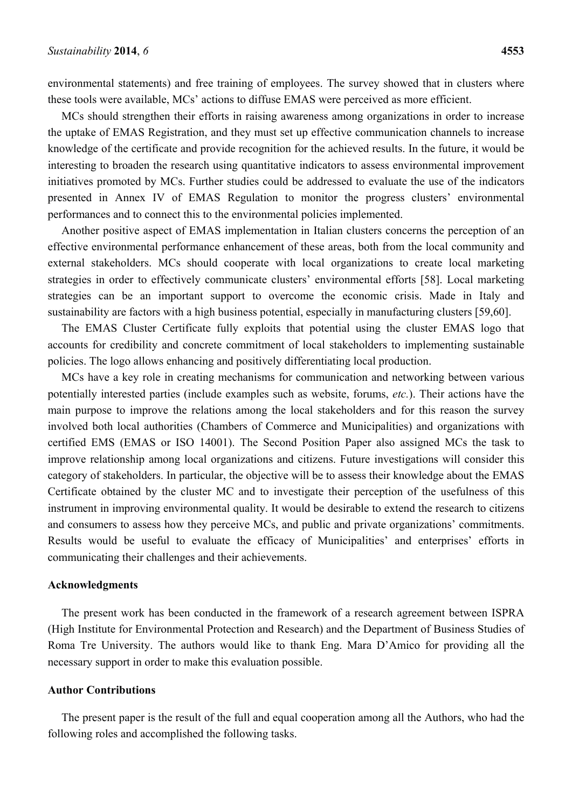environmental statements) and free training of employees. The survey showed that in clusters where these tools were available, MCs' actions to diffuse EMAS were perceived as more efficient.

MCs should strengthen their efforts in raising awareness among organizations in order to increase the uptake of EMAS Registration, and they must set up effective communication channels to increase knowledge of the certificate and provide recognition for the achieved results. In the future, it would be interesting to broaden the research using quantitative indicators to assess environmental improvement initiatives promoted by MCs. Further studies could be addressed to evaluate the use of the indicators presented in Annex IV of EMAS Regulation to monitor the progress clusters' environmental performances and to connect this to the environmental policies implemented.

Another positive aspect of EMAS implementation in Italian clusters concerns the perception of an effective environmental performance enhancement of these areas, both from the local community and external stakeholders. MCs should cooperate with local organizations to create local marketing strategies in order to effectively communicate clusters' environmental efforts [58]. Local marketing strategies can be an important support to overcome the economic crisis. Made in Italy and sustainability are factors with a high business potential, especially in manufacturing clusters [59,60].

The EMAS Cluster Certificate fully exploits that potential using the cluster EMAS logo that accounts for credibility and concrete commitment of local stakeholders to implementing sustainable policies. The logo allows enhancing and positively differentiating local production.

MCs have a key role in creating mechanisms for communication and networking between various potentially interested parties (include examples such as website, forums, *etc.*). Their actions have the main purpose to improve the relations among the local stakeholders and for this reason the survey involved both local authorities (Chambers of Commerce and Municipalities) and organizations with certified EMS (EMAS or ISO 14001). The Second Position Paper also assigned MCs the task to improve relationship among local organizations and citizens. Future investigations will consider this category of stakeholders. In particular, the objective will be to assess their knowledge about the EMAS Certificate obtained by the cluster MC and to investigate their perception of the usefulness of this instrument in improving environmental quality. It would be desirable to extend the research to citizens and consumers to assess how they perceive MCs, and public and private organizations' commitments. Results would be useful to evaluate the efficacy of Municipalities' and enterprises' efforts in communicating their challenges and their achievements.

### **Acknowledgments**

The present work has been conducted in the framework of a research agreement between ISPRA (High Institute for Environmental Protection and Research) and the Department of Business Studies of Roma Tre University. The authors would like to thank Eng. Mara D'Amico for providing all the necessary support in order to make this evaluation possible.

### **Author Contributions**

The present paper is the result of the full and equal cooperation among all the Authors, who had the following roles and accomplished the following tasks.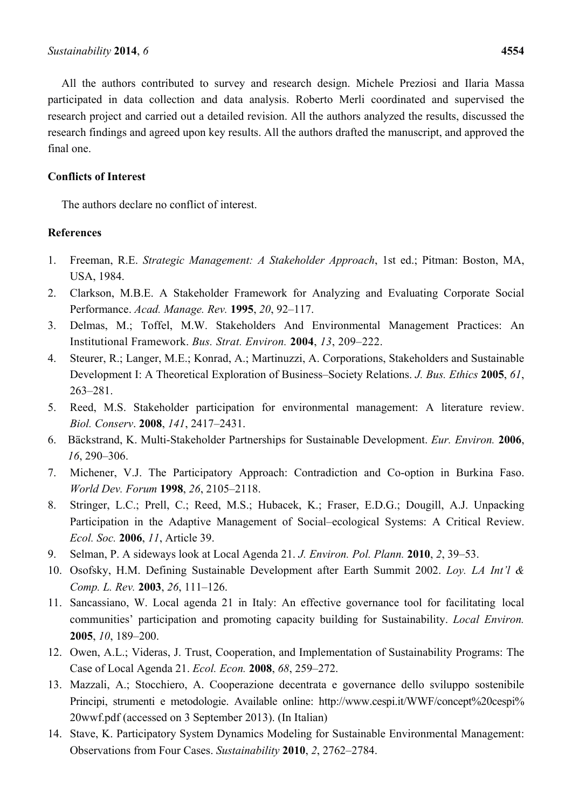All the authors contributed to survey and research design. Michele Preziosi and Ilaria Massa participated in data collection and data analysis. Roberto Merli coordinated and supervised the research project and carried out a detailed revision. All the authors analyzed the results, discussed the research findings and agreed upon key results. All the authors drafted the manuscript, and approved the final one.

# **Conflicts of Interest**

The authors declare no conflict of interest.

# **References**

- 1. Freeman, R.E. *Strategic Management: A Stakeholder Approach*, 1st ed.; Pitman: Boston, MA, USA, 1984.
- 2. Clarkson, M.B.E. A Stakeholder Framework for Analyzing and Evaluating Corporate Social Performance. *Acad. Manage. Rev.* **1995**, *20*, 92–117.
- 3. Delmas, M.; Toffel, M.W. Stakeholders And Environmental Management Practices: An Institutional Framework. *Bus. Strat. Environ.* **2004**, *13*, 209–222.
- 4. Steurer, R.; Langer, M.E.; Konrad, A.; Martinuzzi, A. Corporations, Stakeholders and Sustainable Development I: A Theoretical Exploration of Business–Society Relations. *J. Bus. Ethics* **2005**, *61*, 263–281.
- 5. Reed, M.S. Stakeholder participation for environmental management: A literature review. *Biol. Conserv*. **2008**, *141*, 2417–2431.
- 6. Bäckstrand, K. Multi-Stakeholder Partnerships for Sustainable Development. *Eur. Environ.* **2006**, *16*, 290–306.
- 7. Michener, V.J. The Participatory Approach: Contradiction and Co-option in Burkina Faso. *World Dev. Forum* **1998**, *26*, 2105–2118.
- 8. Stringer, L.C.; Prell, C.; Reed, M.S.; Hubacek, K.; Fraser, E.D.G.; Dougill, A.J. Unpacking Participation in the Adaptive Management of Social–ecological Systems: A Critical Review. *Ecol. Soc.* **2006**, *11*, Article 39.
- 9. Selman, P. A sideways look at Local Agenda 21. *J. Environ. Pol. Plann.* **2010**, *2*, 39–53.
- 10. Osofsky, H.M. Defining Sustainable Development after Earth Summit 2002. *Loy. LA Int'l & Comp. L. Rev.* **2003**, *26*, 111–126.
- 11. Sancassiano, W. Local agenda 21 in Italy: An effective governance tool for facilitating local communities' participation and promoting capacity building for Sustainability. *Local Environ.* **2005**, *10*, 189–200.
- 12. Owen, A.L.; Videras, J. Trust, Cooperation, and Implementation of Sustainability Programs: The Case of Local Agenda 21. *Ecol. Econ.* **2008**, *68*, 259–272.
- 13. Mazzali, A.; Stocchiero, A. Cooperazione decentrata e governance dello sviluppo sostenibile Principi, strumenti e metodologie. Available online: http://www.cespi.it/WWF/concept%20cespi% 20wwf.pdf (accessed on 3 September 2013). (In Italian)
- 14. Stave, K. Participatory System Dynamics Modeling for Sustainable Environmental Management: Observations from Four Cases. *Sustainability* **2010**, *2*, 2762–2784.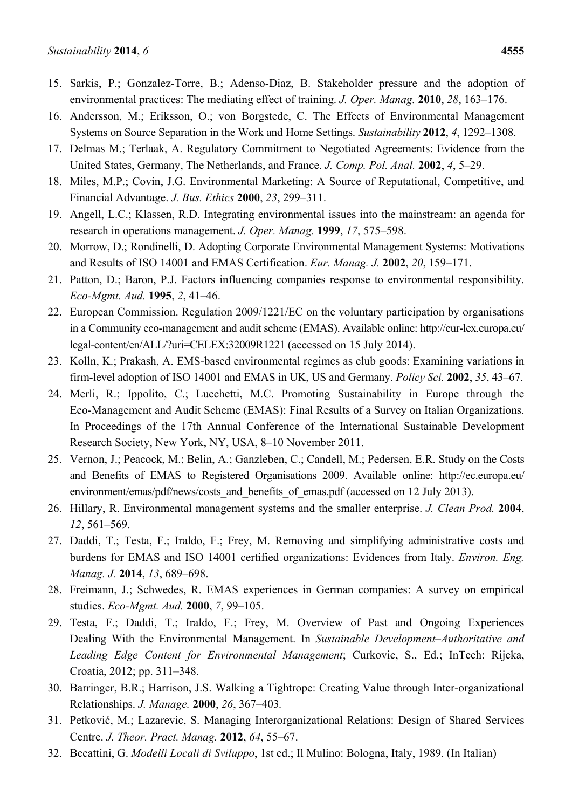- 15. Sarkis, P.; Gonzalez-Torre, B.; Adenso-Diaz, B. Stakeholder pressure and the adoption of environmental practices: The mediating effect of training. *J. Oper. Manag.* **2010**, *28*, 163–176.
- 16. Andersson, M.; Eriksson, O.; von Borgstede, C. The Effects of Environmental Management Systems on Source Separation in the Work and Home Settings. *Sustainability* **2012**, *4*, 1292–1308.
- 17. Delmas M.; Terlaak, A. Regulatory Commitment to Negotiated Agreements: Evidence from the United States, Germany, The Netherlands, and France. *J. Comp. Pol. Anal.* **2002**, *4*, 5–29.
- 18. Miles, M.P.; Covin, J.G. Environmental Marketing: A Source of Reputational, Competitive, and Financial Advantage. *J. Bus. Ethics* **2000**, *23*, 299–311.
- 19. Angell, L.C.; Klassen, R.D. Integrating environmental issues into the mainstream: an agenda for research in operations management. *J. Oper. Manag.* **1999**, *17*, 575–598.
- 20. Morrow, D.; Rondinelli, D. Adopting Corporate Environmental Management Systems: Motivations and Results of ISO 14001 and EMAS Certification. *Eur. Manag. J.* **2002**, *20*, 159–171.
- 21. Patton, D.; Baron, P.J. Factors influencing companies response to environmental responsibility. *Eco-Mgmt. Aud.* **1995**, *2*, 41–46.
- 22. European Commission. Regulation 2009/1221/EC on the voluntary participation by organisations in a Community eco-management and audit scheme (EMAS). Available online: http://eur-lex.europa.eu/ legal-content/en/ALL/?uri=CELEX:32009R1221 (accessed on 15 July 2014).
- 23. Kolln, K.; Prakash, A. EMS-based environmental regimes as club goods: Examining variations in firm-level adoption of ISO 14001 and EMAS in UK, US and Germany. *Policy Sci.* **2002**, *35*, 43–67.
- 24. Merli, R.; Ippolito, C.; Lucchetti, M.C. Promoting Sustainability in Europe through the Eco-Management and Audit Scheme (EMAS): Final Results of a Survey on Italian Organizations. In Proceedings of the 17th Annual Conference of the International Sustainable Development Research Society, New York, NY, USA, 8–10 November 2011.
- 25. Vernon, J.; Peacock, M.; Belin, A.; Ganzleben, C.; Candell, M.; Pedersen, E.R. Study on the Costs and Benefits of EMAS to Registered Organisations 2009. Available online: http://ec.europa.eu/ environment/emas/pdf/news/costs\_and\_benefits\_of\_emas.pdf (accessed on 12 July 2013).
- 26. Hillary, R. Environmental management systems and the smaller enterprise. *J. Clean Prod.* **2004**, *12*, 561–569.
- 27. Daddi, T.; Testa, F.; Iraldo, F.; Frey, M. Removing and simplifying administrative costs and burdens for EMAS and ISO 14001 certified organizations: Evidences from Italy. *Environ. Eng. Manag. J.* **2014**, *13*, 689–698.
- 28. Freimann, J.; Schwedes, R. EMAS experiences in German companies: A survey on empirical studies. *Eco-Mgmt. Aud.* **2000**, *7*, 99–105.
- 29. Testa, F.; Daddi, T.; Iraldo, F.; Frey, M. Overview of Past and Ongoing Experiences Dealing With the Environmental Management. In *Sustainable Development–Authoritative and Leading Edge Content for Environmental Management*; Curkovic, S., Ed.; InTech: Rijeka, Croatia, 2012; pp. 311–348.
- 30. Barringer, B.R.; Harrison, J.S. Walking a Tightrope: Creating Value through Inter-organizational Relationships. *J. Manage.* **2000**, *26*, 367–403*.*
- 31. Petković, M.; Lazarevic, S. Managing Interorganizational Relations: Design of Shared Services Centre. *J. Theor. Pract. Manag.* **2012**, *64*, 55–67.
- 32. Becattini, G. *Modelli Locali di Sviluppo*, 1st ed.; Il Mulino: Bologna, Italy, 1989. (In Italian)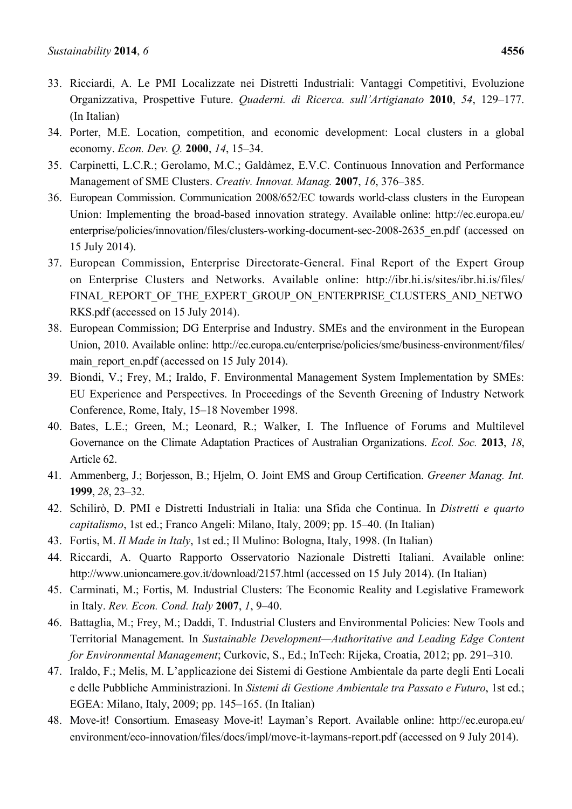- 33. Ricciardi, A. Le PMI Localizzate nei Distretti Industriali: Vantaggi Competitivi, Evoluzione Organizzativa, Prospettive Future. *Quaderni. di Ricerca. sull'Artigianato* **2010**, *54*, 129–177. (In Italian)
- 34. Porter, M.E. Location, competition, and economic development: Local clusters in a global economy. *Econ. Dev. Q.* **2000**, *14*, 15–34.
- 35. Carpinetti, L.C.R.; Gerolamo, M.C.; Galdàmez, E.V.C. Continuous Innovation and Performance Management of SME Clusters. *Creativ. Innovat. Manag.* **2007**, *16*, 376–385.
- 36. European Commission. Communication 2008/652/EC towards world-class clusters in the European Union: Implementing the broad-based innovation strategy. Available online: http://ec.europa.eu/ enterprise/policies/innovation/files/clusters-working-document-sec-2008-2635 en.pdf (accessed on 15 July 2014).
- 37. European Commission, Enterprise Directorate-General. Final Report of the Expert Group on Enterprise Clusters and Networks. Available online: http://ibr.hi.is/sites/ibr.hi.is/files/ FINAL REPORT OF THE EXPERT GROUP ON ENTERPRISE CLUSTERS AND NETWO RKS.pdf (accessed on 15 July 2014).
- 38. European Commission; DG Enterprise and Industry. SMEs and the environment in the European Union, 2010. Available online: http://ec.europa.eu/enterprise/policies/sme/business-environment/files/ main report en.pdf (accessed on 15 July 2014).
- 39. Biondi, V.; Frey, M.; Iraldo, F. Environmental Management System Implementation by SMEs: EU Experience and Perspectives. In Proceedings of the Seventh Greening of Industry Network Conference, Rome, Italy, 15–18 November 1998.
- 40. Bates, L.E.; Green, M.; Leonard, R.; Walker, I. The Influence of Forums and Multilevel Governance on the Climate Adaptation Practices of Australian Organizations. *Ecol. Soc.* **2013**, *18*, Article 62.
- 41. Ammenberg, J.; Borjesson, B.; Hjelm, O. Joint EMS and Group Certification. *Greener Manag. Int.* **1999**, *28*, 23–32.
- 42. Schilirò, D. PMI e Distretti Industriali in Italia: una Sfida che Continua. In *Distretti e quarto capitalismo*, 1st ed.; Franco Angeli: Milano, Italy, 2009; pp. 15–40. (In Italian)
- 43. Fortis, M. *Il Made in Italy*, 1st ed.; Il Mulino: Bologna, Italy, 1998. (In Italian)
- 44. Riccardi, A. Quarto Rapporto Osservatorio Nazionale Distretti Italiani. Available online: http://www.unioncamere.gov.it/download/2157.html (accessed on 15 July 2014). (In Italian)
- 45. Carminati, M.; Fortis, M*.* Industrial Clusters: The Economic Reality and Legislative Framework in Italy. *Rev. Econ. Cond. Italy* **2007**, *1*, 9–40.
- 46. Battaglia, M.; Frey, M.; Daddi, T. Industrial Clusters and Environmental Policies: New Tools and Territorial Management. In *Sustainable Development—Authoritative and Leading Edge Content for Environmental Management*; Curkovic, S., Ed.; InTech: Rijeka, Croatia, 2012; pp. 291–310.
- 47. Iraldo, F.; Melis, M. L'applicazione dei Sistemi di Gestione Ambientale da parte degli Enti Locali e delle Pubbliche Amministrazioni. In *Sistemi di Gestione Ambientale tra Passato e Futuro*, 1st ed.; EGEA: Milano, Italy, 2009; pp. 145–165. (In Italian)
- 48. Move-it! Consortium. Emaseasy Move-it! Layman's Report. Available online: http://ec.europa.eu/ environment/eco-innovation/files/docs/impl/move-it-laymans-report.pdf (accessed on 9 July 2014).